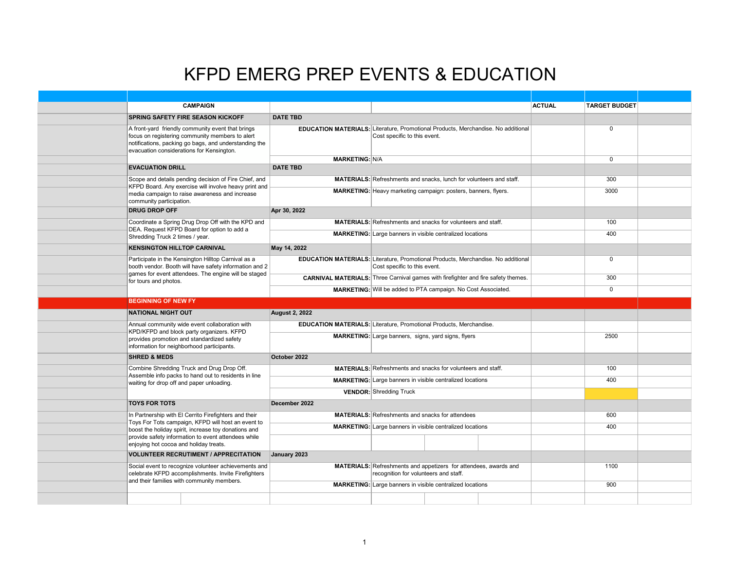## KFPD EMERG PREP EVENTS & EDUCATION

|  |                                                                                                                                                                                                                                                                                                                                                                                                                                                                                                 | <b>CAMPAIGN</b>                                                                                                                                                       |                                                                                                                  |                                                                            |  |  | <b>ACTUAL</b> | <b>TARGET BUDGET</b> |  |
|--|-------------------------------------------------------------------------------------------------------------------------------------------------------------------------------------------------------------------------------------------------------------------------------------------------------------------------------------------------------------------------------------------------------------------------------------------------------------------------------------------------|-----------------------------------------------------------------------------------------------------------------------------------------------------------------------|------------------------------------------------------------------------------------------------------------------|----------------------------------------------------------------------------|--|--|---------------|----------------------|--|
|  |                                                                                                                                                                                                                                                                                                                                                                                                                                                                                                 | <b>SPRING SAFETY FIRE SEASON KICKOFF</b>                                                                                                                              | <b>DATE TBD</b>                                                                                                  |                                                                            |  |  |               |                      |  |
|  | A front-yard friendly community event that brings<br>focus on registering community members to alert<br>notifications, packing go bags, and understanding the<br>evacuation considerations for Kensington.                                                                                                                                                                                                                                                                                      |                                                                                                                                                                       | EDUCATION MATERIALS: Literature, Promotional Products, Merchandise. No additional                                | Cost specific to this event.                                               |  |  |               | $\mathbf 0$          |  |
|  |                                                                                                                                                                                                                                                                                                                                                                                                                                                                                                 |                                                                                                                                                                       | <b>MARKETING: N/A</b>                                                                                            |                                                                            |  |  |               | $\mathbf 0$          |  |
|  | <b>EVACUATION DRILL</b>                                                                                                                                                                                                                                                                                                                                                                                                                                                                         |                                                                                                                                                                       | <b>DATE TBD</b>                                                                                                  |                                                                            |  |  |               |                      |  |
|  | Scope and details pending decision of Fire Chief, and<br>KFPD Board. Any exercise will involve heavy print and                                                                                                                                                                                                                                                                                                                                                                                  |                                                                                                                                                                       |                                                                                                                  | <b>MATERIALS:</b> Refreshments and snacks, lunch for volunteers and staff. |  |  |               | 300                  |  |
|  | community participation.                                                                                                                                                                                                                                                                                                                                                                                                                                                                        | media campaign to raise awareness and increase                                                                                                                        |                                                                                                                  | MARKETING: Heavy marketing campaign: posters, banners, flyers.             |  |  |               | 3000                 |  |
|  | <b>DRUG DROP OFF</b>                                                                                                                                                                                                                                                                                                                                                                                                                                                                            |                                                                                                                                                                       | Apr 30, 2022                                                                                                     |                                                                            |  |  |               |                      |  |
|  |                                                                                                                                                                                                                                                                                                                                                                                                                                                                                                 | Coordinate a Spring Drug Drop Off with the KPD and<br>DEA. Request KFPD Board for option to add a<br>Shredding Truck 2 times / year.                                  |                                                                                                                  | <b>MATERIALS:</b> Refreshments and snacks for volunteers and staff.        |  |  |               | 100                  |  |
|  |                                                                                                                                                                                                                                                                                                                                                                                                                                                                                                 |                                                                                                                                                                       |                                                                                                                  | <b>MARKETING:</b> Large banners in visible centralized locations           |  |  |               | 400                  |  |
|  | <b>KENSINGTON HILLTOP CARNIVAL</b>                                                                                                                                                                                                                                                                                                                                                                                                                                                              |                                                                                                                                                                       | May 14, 2022                                                                                                     |                                                                            |  |  |               |                      |  |
|  |                                                                                                                                                                                                                                                                                                                                                                                                                                                                                                 | Participate in the Kensington Hilltop Carnival as a<br>booth vendor. Booth will have safety information and 2<br>games for event attendees. The engine will be staged | <b>EDUCATION MATERIALS: Literature, Promotional Products, Merchandise. No additional</b>                         | Cost specific to this event.                                               |  |  |               | $\mathbf 0$          |  |
|  | for tours and photos.                                                                                                                                                                                                                                                                                                                                                                                                                                                                           |                                                                                                                                                                       | CARNIVAL MATERIALS: Three Carnival games with firefighter and fire safety themes.                                |                                                                            |  |  |               | 300                  |  |
|  |                                                                                                                                                                                                                                                                                                                                                                                                                                                                                                 |                                                                                                                                                                       |                                                                                                                  | MARKETING: Will be added to PTA campaign. No Cost Associated.              |  |  |               | $\mathbf 0$          |  |
|  | <b>BEGINNING OF NEW FY</b>                                                                                                                                                                                                                                                                                                                                                                                                                                                                      |                                                                                                                                                                       |                                                                                                                  |                                                                            |  |  |               |                      |  |
|  | NATIONAL NIGHT OUT                                                                                                                                                                                                                                                                                                                                                                                                                                                                              |                                                                                                                                                                       | <b>August 2, 2022</b>                                                                                            |                                                                            |  |  |               |                      |  |
|  |                                                                                                                                                                                                                                                                                                                                                                                                                                                                                                 | Annual community wide event collaboration with                                                                                                                        | <b>EDUCATION MATERIALS: Literature, Promotional Products, Merchandise.</b>                                       |                                                                            |  |  |               |                      |  |
|  | KPD/KFPD and block party organizers. KFPD<br>provides promotion and standardized safety<br>information for neighborhood participants.<br><b>SHRED &amp; MEDS</b>                                                                                                                                                                                                                                                                                                                                |                                                                                                                                                                       | <b>MARKETING:</b> Large banners, signs, yard signs, flyers                                                       |                                                                            |  |  | 2500          |                      |  |
|  |                                                                                                                                                                                                                                                                                                                                                                                                                                                                                                 |                                                                                                                                                                       | October 2022                                                                                                     |                                                                            |  |  |               |                      |  |
|  | Combine Shredding Truck and Drug Drop Off.<br>Assemble info packs to hand out to residents in line<br>waiting for drop off and paper unloading.<br><b>TOYS FOR TOTS</b><br>In Partnership with El Cerrito Firefighters and their<br>Toys For Tots campaign, KFPD will host an event to<br>boost the holiday spirit, increase toy donations and<br>provide safety information to event attendees while<br>enjoying hot cocoa and holiday treats.<br><b>VOLUNTEER RECRUTIMENT / APPRECITATION</b> |                                                                                                                                                                       |                                                                                                                  | <b>MATERIALS:</b> Refreshments and snacks for volunteers and staff.        |  |  | 100           |                      |  |
|  |                                                                                                                                                                                                                                                                                                                                                                                                                                                                                                 |                                                                                                                                                                       | <b>MARKETING:</b> Large banners in visible centralized locations                                                 |                                                                            |  |  | 400           |                      |  |
|  |                                                                                                                                                                                                                                                                                                                                                                                                                                                                                                 |                                                                                                                                                                       | <b>VENDOR: Shredding Truck</b>                                                                                   |                                                                            |  |  |               |                      |  |
|  |                                                                                                                                                                                                                                                                                                                                                                                                                                                                                                 |                                                                                                                                                                       | December 2022                                                                                                    |                                                                            |  |  |               |                      |  |
|  |                                                                                                                                                                                                                                                                                                                                                                                                                                                                                                 |                                                                                                                                                                       | <b>MATERIALS:</b> Refreshments and snacks for attendees                                                          |                                                                            |  |  | 600           |                      |  |
|  |                                                                                                                                                                                                                                                                                                                                                                                                                                                                                                 |                                                                                                                                                                       | <b>MARKETING:</b> Large banners in visible centralized locations                                                 |                                                                            |  |  | 400           |                      |  |
|  |                                                                                                                                                                                                                                                                                                                                                                                                                                                                                                 |                                                                                                                                                                       |                                                                                                                  |                                                                            |  |  |               |                      |  |
|  |                                                                                                                                                                                                                                                                                                                                                                                                                                                                                                 |                                                                                                                                                                       | January 2023                                                                                                     |                                                                            |  |  |               |                      |  |
|  | Social event to recognize volunteer achievements and<br>celebrate KFPD accomplishments. Invite Firefighters<br>and their families with community members.                                                                                                                                                                                                                                                                                                                                       |                                                                                                                                                                       | <b>MATERIALS:</b> Refreshments and appetizers for attendees, awards and<br>recognition for volunteers and staff. |                                                                            |  |  | 1100          |                      |  |
|  |                                                                                                                                                                                                                                                                                                                                                                                                                                                                                                 |                                                                                                                                                                       | <b>MARKETING:</b> Large banners in visible centralized locations                                                 |                                                                            |  |  | 900           |                      |  |
|  |                                                                                                                                                                                                                                                                                                                                                                                                                                                                                                 |                                                                                                                                                                       |                                                                                                                  |                                                                            |  |  |               |                      |  |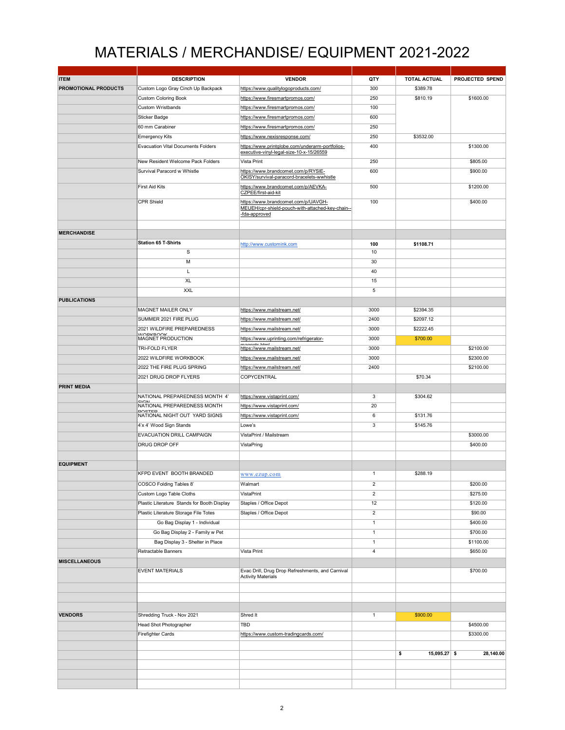## MATERIALS / MERCHANDISE/ EQUIPMENT 2021-2022

| <b>ITEM</b>          | <b>DESCRIPTION</b>                            | <b>VENDOR</b>                                                                                            | QTY            | <b>TOTAL ACTUAL</b>  | PROJECTED SPEND |
|----------------------|-----------------------------------------------|----------------------------------------------------------------------------------------------------------|----------------|----------------------|-----------------|
| PROMOTIONAL PRODUCTS | Custom Logo Gray Cinch Up Backpack            | https://www.qualitylogoproducts.com/                                                                     | 300            | \$389.78             |                 |
|                      | <b>Custom Coloring Book</b>                   | https://www.firesmartpromos.com/                                                                         | 250            | \$810.19             | \$1600.00       |
|                      | Custom Wristbands                             | https://www.firesmartpromos.com/                                                                         | 100            |                      |                 |
|                      |                                               |                                                                                                          |                |                      |                 |
|                      | <b>Sticker Badge</b>                          | https://www.firesmartpromos.com/                                                                         | 600            |                      |                 |
|                      | 60 mm Carabiner                               | https://www.firesmartpromos.com/                                                                         | 250            |                      |                 |
|                      | <b>Emergency Kits</b>                         | https://www.nexisresponse.com/                                                                           | 250            | \$3532.00            |                 |
|                      | <b>Evacuation Vital Documents Folders</b>     | https://www.printglobe.com/underarm-portfolios-<br>executive-vinyl-legal-size-10-x-15/26559              | 400            |                      | \$1300.00       |
|                      | New Resident Welcome Pack Folders             | Vista Print                                                                                              | 250            |                      | \$805.00        |
|                      | Survival Paracord w Whistle                   | https://www.brandcomet.com/p/RYSIE-                                                                      | 600            |                      | \$900.00        |
|                      | First Aid Kits                                | OKISY/survival-paracord-bracelets-wwhistle<br>https://www.brandcomet.com/p/AEVKA-                        | 500            |                      | \$1200.00       |
|                      |                                               | CZPEE/first-aid-kit                                                                                      |                |                      |                 |
|                      | <b>CPR Shield</b>                             | https://www.brandcomet.com/p/UAVGH-<br>MEUEH/cpr-shield-pouch-with-attached-key-chain--<br>-fda-approved | 100            |                      | \$400.00        |
| <b>MERCHANDISE</b>   |                                               |                                                                                                          |                |                      |                 |
|                      |                                               |                                                                                                          |                |                      |                 |
|                      | <b>Station 65 T-Shirts</b>                    | http://www.customink.com                                                                                 | 100            | \$1108.71            |                 |
|                      | $\mathbf S$                                   |                                                                                                          | 10             |                      |                 |
|                      | M                                             |                                                                                                          | 30             |                      |                 |
|                      | L                                             |                                                                                                          | 40             |                      |                 |
|                      | <b>XL</b>                                     |                                                                                                          | 15             |                      |                 |
|                      | <b>XXL</b>                                    |                                                                                                          | 5              |                      |                 |
| <b>PUBLICATIONS</b>  |                                               |                                                                                                          |                |                      |                 |
|                      |                                               |                                                                                                          |                |                      |                 |
|                      | MAGNET MAILER ONLY                            | https://www.mailstream.net/                                                                              | 3000           | \$2394.35            |                 |
|                      | SUMMER 2021 FIRE PLUG                         | https://www.mailstream.net/                                                                              | 2400           | \$2097.12            |                 |
|                      | 2021 WILDFIRE PREPAREDNESS<br><b>WODKDOOK</b> | https://www.mailstream.net/                                                                              | 3000           | \$2222.45            |                 |
|                      | MAGNET PRODUCTION                             | https://www.uprinting.com/refrigerator-                                                                  | 3000           | \$700.00             |                 |
|                      | TRI-FOLD FLYER                                | mognoto html<br>https://www.mailstream.net/                                                              | 3000           |                      | \$2100.00       |
|                      | 2022 WILDFIRE WORKBOOK                        | https://www.mailstream.net/                                                                              | 3000           |                      | \$2300.00       |
|                      | 2022 THE FIRE PLUG SPRING                     | https://www.mailstream.net/                                                                              | 2400           |                      | \$2100.00       |
|                      | 2021 DRUG DROP FLYERS                         | COPYCENTRAL                                                                                              |                | \$70.34              |                 |
|                      |                                               |                                                                                                          |                |                      |                 |
| <b>PRINT MEDIA</b>   |                                               |                                                                                                          |                |                      |                 |
|                      | NATIONAL PREPAREDNESS MONTH 4'<br><b>CION</b> | https://www.vistaprint.com/                                                                              | 3              | \$304.62             |                 |
|                      | NATIONAL PREPAREDNESS MONTH                   | https://www.vistaprint.com/                                                                              | 20             |                      |                 |
|                      | DOCTED<br>NATIONAL NIGHT OUT YARD SIGNS       | https://www.vistaprint.com/                                                                              | 6              | \$131.76             |                 |
|                      | 4'x 4' Wood Sign Stands                       | Lowe's                                                                                                   | 3              | \$145.76             |                 |
|                      | EVACUATION DRILL CAMPAIGN                     | VistaPrint / Mailstream                                                                                  |                |                      | \$3000.00       |
|                      | DRUG DROP OFF                                 | VistaPring                                                                                               |                |                      | \$400.00        |
|                      |                                               |                                                                                                          |                |                      |                 |
| <b>EQUIPMENT</b>     |                                               |                                                                                                          |                |                      |                 |
|                      | KFPD EVENT BOOTH BRANDED                      |                                                                                                          | 1              | \$288.19             |                 |
|                      |                                               | www.ezup.com                                                                                             |                |                      |                 |
|                      | COSCO Folding Tables 8'                       | Walmart                                                                                                  | $\overline{2}$ |                      | \$200.00        |
|                      | Custom Logo Table Cloths                      | VistaPrint                                                                                               | $\overline{2}$ |                      | \$275.00        |
|                      | Plastic Literature Stands for Booth Display   | Staples / Office Depot                                                                                   | 12             |                      | \$120.00        |
|                      | Plastic Literature Storage File Totes         | Staples / Office Depot                                                                                   | $\overline{2}$ |                      | \$90.00         |
|                      | Go Bag Display 1 - Individual                 |                                                                                                          | $\mathbf{1}$   |                      | \$400.00        |
|                      | Go Bag Display 2 - Family w Pet               |                                                                                                          | $\mathbf{1}$   |                      | \$700.00        |
|                      |                                               |                                                                                                          |                |                      |                 |
|                      | Bag Display 3 - Shelter in Place              |                                                                                                          | $\mathbf{1}$   |                      | \$1100.00       |
|                      | Retractable Banners                           | Vista Print                                                                                              | $\sqrt{4}$     |                      | \$650.00        |
| <b>MISCELLANEOUS</b> |                                               |                                                                                                          |                |                      |                 |
|                      | <b>EVENT MATERIALS</b>                        | Evac Drill, Drug Drop Refreshments, and Carnival<br><b>Activity Materials</b>                            |                |                      | \$700.00        |
|                      |                                               |                                                                                                          |                |                      |                 |
|                      |                                               |                                                                                                          |                |                      |                 |
| <b>VENDORS</b>       | Shredding Truck - Nov 2021                    | Shred It                                                                                                 | $\mathbf{1}$   | \$900.00             |                 |
|                      | Head Shot Photographer                        | <b>TBD</b>                                                                                               |                |                      | \$4500.00       |
|                      | Firefighter Cards                             | https://www.custom-tradingcards.com/                                                                     |                |                      | \$3300.00       |
|                      |                                               |                                                                                                          |                |                      |                 |
|                      |                                               |                                                                                                          |                | \$<br>$15,095.27$ \$ | 28,140.00       |
|                      |                                               |                                                                                                          |                |                      |                 |
|                      |                                               |                                                                                                          |                |                      |                 |
|                      |                                               |                                                                                                          |                |                      |                 |
|                      |                                               |                                                                                                          |                |                      |                 |